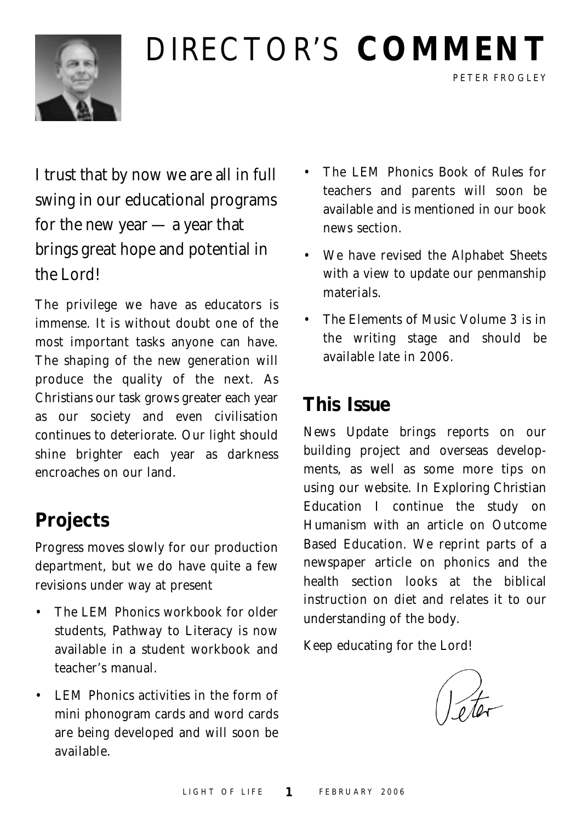

# DIRECTOR'S **COMMENT**

I trust that by now we are all in full swing in our educational programs for the new year — a year that brings great hope and potential in the Lord!

The privilege we have as educators is immense. It is without doubt one of the most important tasks anyone can have. The shaping of the new generation will produce the quality of the next. As Christians our task grows greater each year as our society and even civilisation continues to deteriorate. Our light should shine brighter each year as darkness encroaches on our land.

## **Projects**

Progress moves slowly for our production department, but we do have quite a few revisions under way at present

- The LEM Phonics workbook for older students, *Pathway to Literacy* is now available in a student workbook and teacher's manual.
- LEM Phonics activities in the form of mini phonogram cards and word cards are being developed and will soon be available.

• The LEM Phonics *Book of Rules* for teachers and parents will soon be available and is mentioned in our book news section.

PETER FROGLEY

- We have revised the Alphabet Sheets with a view to update our penmanship materials.
- *The Elements of Music* Volume 3 is in the writing stage and should be available late in 2006.

#### **This Issue**

*News Update* brings reports on our building project and overseas developments, as well as some more tips on using our website. In *Exploring Christian Education* I continue the study on Humanism with an article on Outcome Based Education. We reprint parts of a newspaper article on phonics and the health section looks at the biblical instruction on diet and relates it to our understanding of the body.

Keep educating for the Lord!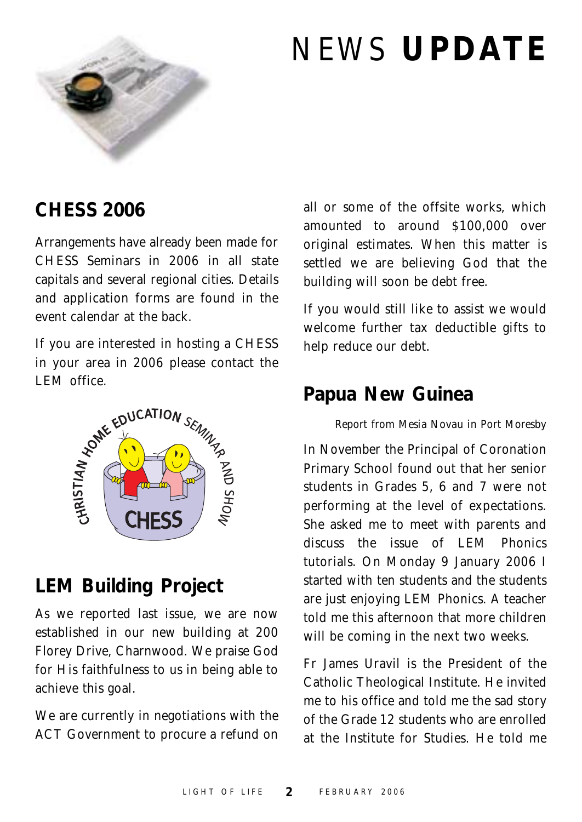

# NEWS **UPDATE**

#### **CHESS 2006**

Arrangements have already been made for CHESS Seminars in 2006 in all state capitals and several regional cities. Details and application forms are found in the event calendar at the back.

If you are interested in hosting a CHESS in your area in 2006 please contact the



#### **LEM Building Project**

As we reported last issue, we are now established in our new building at 200 Florey Drive, Charnwood. We praise God for His faithfulness to us in being able to achieve this goal.

We are currently in negotiations with the ACT Government to procure a refund on all or some of the offsite works, which amounted to around \$100,000 over original estimates. When this matter is settled we are believing God that the building will soon be debt free.

If you would still like to assist we would welcome further tax deductible gifts to help reduce our debt.

#### **Papua New Guinea**

#### *Report from Mesia Novau in Port Moresby*

In November the Principal of Coronation Primary School found out that her senior students in Grades 5, 6 and 7 were not performing at the level of expectations. She asked me to meet with parents and discuss the issue of LEM Phonics tutorials. On Monday 9 January 2006 I started with ten students and the students are just enjoying LEM Phonics. A teacher told me this afternoon that more children will be coming in the next two weeks.

Fr James Uravil is the President of the Catholic Theological Institute. He invited me to his office and told me the sad story of the Grade 12 students who are enrolled at the Institute for Studies. He told me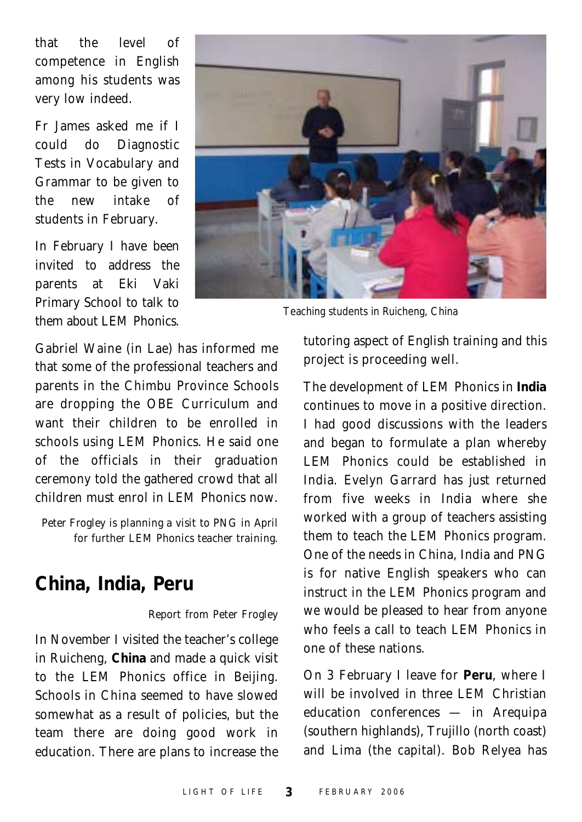that the level of competence in English among his students was very low indeed.

Fr James asked me if I could do Diagnostic Tests in Vocabulary and Grammar to be given to the new intake of students in February.

In February I have been invited to address the parents at Eki Vaki Primary School to talk to them about LEM Phonics.



Teaching students in Ruicheng, China

Gabriel Waine (in Lae) has informed me that some of the professional teachers and parents in the Chimbu Province Schools are dropping the OBE Curriculum and want their children to be enrolled in schools using LEM Phonics. He said one of the officials in their graduation ceremony told the gathered crowd that all children must enrol in LEM Phonics now.

*Peter Frogley is planning a visit to PNG in April for further LEM Phonics teacher training.*

#### **China, India, Peru**

#### *Report from Peter Frogley*

In November I visited the teacher's college in Ruicheng, **China** and made a quick visit to the LEM Phonics office in Beijing. Schools in China seemed to have slowed somewhat as a result of policies, but the team there are doing good work in education. There are plans to increase the

tutoring aspect of English training and this project is proceeding well.

The development of LEM Phonics in **India** continues to move in a positive direction. I had good discussions with the leaders and began to formulate a plan whereby LEM Phonics could be established in India. Evelyn Garrard has just returned from five weeks in India where she worked with a group of teachers assisting them to teach the LEM Phonics program. One of the needs in China, India and PNG is for native English speakers who can instruct in the LEM Phonics program and we would be pleased to hear from anyone who feels a call to teach LEM Phonics in one of these nations.

On 3 February I leave for **Peru**, where I will be involved in three LEM Christian education conferences — in Arequipa (southern highlands), Trujillo (north coast) and Lima (the capital). Bob Relyea has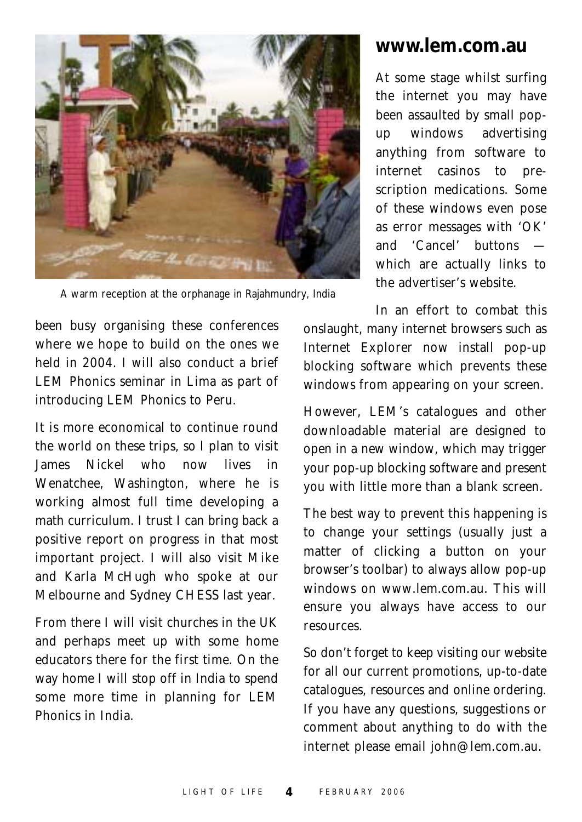

#### **www.lem.com.au**

At some stage whilst surfing the internet you may have been assaulted by small popup windows advertising anything from software to internet casinos to prescription medications. Some of these windows even pose as error messages with 'OK' and 'Cancel' buttons which are actually links to the advertiser's website.

A warm reception at the orphanage in Rajahmundry, India

been busy organising these conferences where we hope to build on the ones we held in 2004. I will also conduct a brief LEM Phonics seminar in Lima as part of introducing LEM Phonics to Peru.

It is more economical to continue round the world on these trips, so I plan to visit James Nickel who now lives in Wenatchee, Washington, where he is working almost full time developing a math curriculum. I trust I can bring back a positive report on progress in that most important project. I will also visit Mike and Karla McHugh who spoke at our Melbourne and Sydney CHESS last year.

From there I will visit churches in the UK and perhaps meet up with some home educators there for the first time. On the way home I will stop off in India to spend some more time in planning for LEM Phonics in India.

In an effort to combat this onslaught, many internet browsers such as Internet Explorer now install pop-up blocking software which prevents these windows from appearing on your screen.

However, LEM's catalogues and other downloadable material are designed to open in a new window, which may trigger your pop-up blocking software and present you with little more than a blank screen.

The best way to prevent this happening is to change your settings (usually just a matter of clicking a button on your browser's toolbar) to always allow pop-up windows on www.lem.com.au. This will ensure you always have access to our resources.

So don't forget to keep visiting our website for all our current promotions, up-to-date catalogues, resources and online ordering. If you have any questions, suggestions or comment about anything to do with the internet please email john@lem.com.au.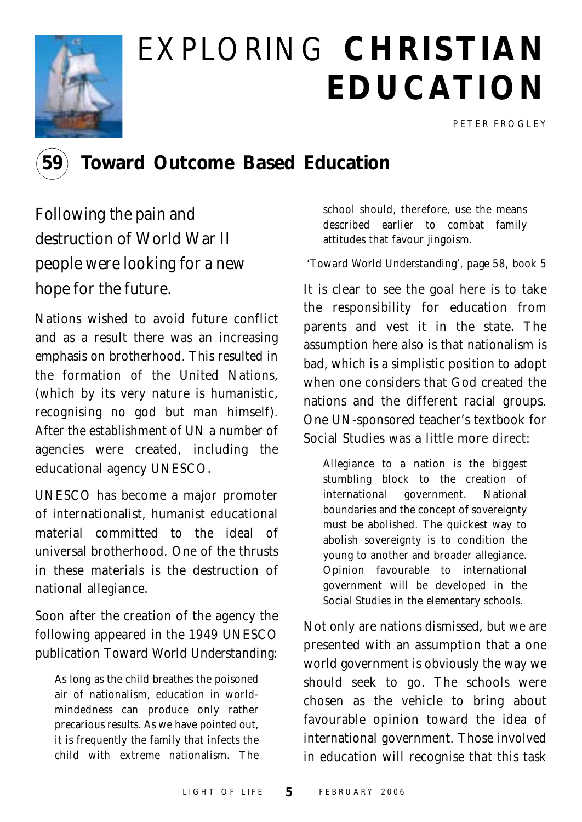

# EXPLORING **CHRISTIAN EDUCATION**

PETER FROGLEY



#### **59 Toward Outcome Based Education**

Following the pain and destruction of World War II people were looking for a new hope for the future.

Nations wished to avoid future conflict and as a result there was an increasing emphasis on brotherhood. This resulted in the formation of the United Nations, (which by its very nature is humanistic, recognising no god but man himself). After the establishment of UN a number of agencies were created, including the educational agency UNESCO.

UNESCO has become a major promoter of internationalist, humanist educational material committed to the ideal of universal brotherhood. One of the thrusts in these materials is the destruction of national allegiance.

Soon after the creation of the agency the following appeared in the 1949 UNESCO publication *Toward World Understanding*:

As long as the child breathes the poisoned air of nationalism, education in worldmindedness can produce only rather precarious results. As we have pointed out, it is frequently the family that infects the child with extreme nationalism. The school should, therefore, use the means described earlier to combat family attitudes that favour jingoism.

#### *'Toward World Understanding', page 58, book 5*

It is clear to see the goal here is to take the responsibility for education from parents and vest it in the state. The assumption here also is that nationalism is bad, which is a simplistic position to adopt when one considers that God created the nations and the different racial groups. One UN-sponsored teacher's textbook for Social Studies was a little more direct:

Allegiance to a nation is the biggest stumbling block to the creation of international government. National boundaries and the concept of sovereignty must be abolished. The quickest way to abolish sovereignty is to condition the young to another and broader allegiance. Opinion favourable to international government will be developed in the Social Studies in the elementary schools.

Not only are nations dismissed, but we are presented with an assumption that a one world government is obviously the way we should seek to go. The schools were chosen as the vehicle to bring about favourable opinion toward the idea of international government. Those involved in education will recognise that this task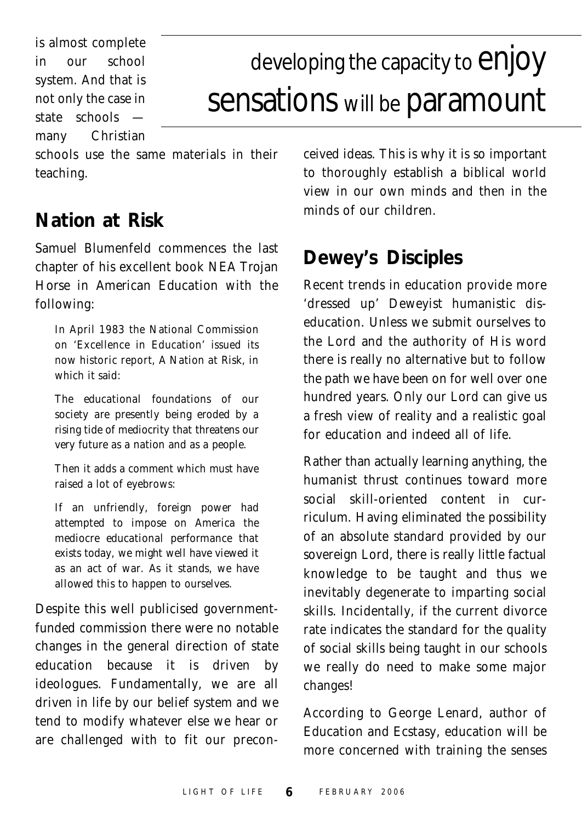is almost complete in our school system. And that is not only the case in state schools many Christian

# developing the capacity to  $\epsilon$ njOy sensations will be paramount

schools use the same materials in their teaching.

#### **Nation at Risk**

Samuel Blumenfeld commences the last chapter of his excellent book *NEA Trojan Horse in American Education* with the following:

In April 1983 the National Commission on 'Excellence in Education' issued its now historic report, *A Nation at Risk,* in which it said:

*The educational foundations of our society are presently being eroded by a rising tide of mediocrity that threatens our very future as a nation and as a people.*

Then it adds a comment which must have raised a lot of eyebrows:

*If an unfriendly, foreign power had attempted to impose on America the mediocre educational performance that exists today, we might well have viewed it as an act of war. As it stands, we have allowed this to happen to ourselves.*

Despite this well publicised governmentfunded commission there were no notable changes in the general direction of state education because it is driven by ideologues. Fundamentally, we are all driven in life by our belief system and we tend to modify whatever else we hear or are challenged with to fit our preconceived ideas. This is why it is so important to thoroughly establish a biblical world view in our own minds and then in the minds of our children.

### **Dewey's Disciples**

Recent trends in education provide more 'dressed up' Deweyist humanistic diseducation. Unless we submit ourselves to the Lord and the authority of His word there is really no alternative but to follow the path we have been on for well over one hundred years. Only our Lord can give us a fresh view of reality and a realistic goal for education and indeed all of life.

Rather than actually learning anything, the humanist thrust continues toward more social skill-oriented content in curriculum. Having eliminated the possibility of an absolute standard provided by our sovereign Lord, there is really little factual knowledge to be taught and thus we inevitably degenerate to imparting social skills. Incidentally, if the current divorce rate indicates the standard for the quality of social skills being taught in our schools we really do need to make some major changes!

According to George Lenard, author of *Education and Ecstasy*, education will be more concerned with training the senses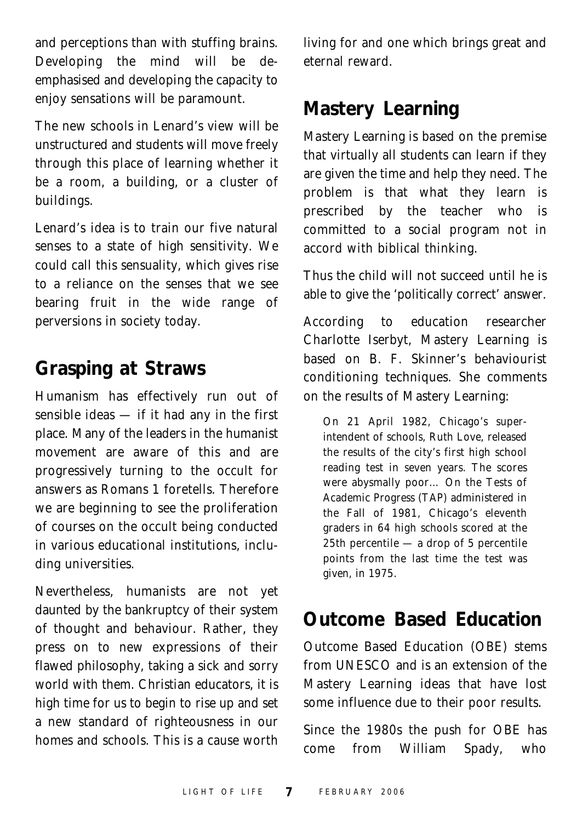and perceptions than with stuffing brains. Developing the mind will be deemphasised and developing the capacity to enjoy sensations will be paramount.

The new schools in Lenard's view will be unstructured and students will move freely through this place of learning whether it be a room, a building, or a cluster of buildings.

Lenard's idea is to train our five natural senses to a state of high sensitivity. We could call this sensuality, which gives rise to a reliance on the senses that we see bearing fruit in the wide range of perversions in society today.

#### **Grasping at Straws**

Humanism has effectively run out of sensible ideas — if it had any in the first place. Many of the leaders in the humanist movement are aware of this and are progressively turning to the occult for answers as Romans 1 foretells. Therefore we are beginning to see the proliferation of courses on the occult being conducted in various educational institutions, including universities.

Nevertheless, humanists are not yet daunted by the bankruptcy of their system of thought and behaviour. Rather, they press on to new expressions of their flawed philosophy, taking a sick and sorry world with them. Christian educators, it is high time for us to begin to rise up and set a new standard of righteousness in our homes and schools. This is a cause worth living for and one which brings great and eternal reward.

### **Mastery Learning**

*Mastery Learning* is based on the premise that virtually all students can learn if they are given the time and help they need. The problem is that what they learn is prescribed by the teacher who is committed to a social program not in accord with biblical thinking.

Thus the child will not succeed until he is able to give the 'politically correct' answer.

According to education researcher Charlotte Iserbyt, Mastery Learning is based on B. F. Skinner's behaviourist conditioning techniques. She comments on the results of Mastery Learning:

On 21 April 1982, Chicago's superintendent of schools, Ruth Love, released the results of the city's first high school reading test in seven years. The scores were abysmally poor… On the Tests of Academic Progress (TAP) administered in the Fall of 1981, Chicago's eleventh graders in 64 high schools scored at the 25th percentile — a drop of 5 percentile points from the last time the test was given, in 1975.

## **Outcome Based Education**

*Outcome Based Education* (OBE) stems from UNESCO and is an extension of the Mastery Learning ideas that have lost some influence due to their poor results.

Since the 1980s the push for OBE has come from William Spady, who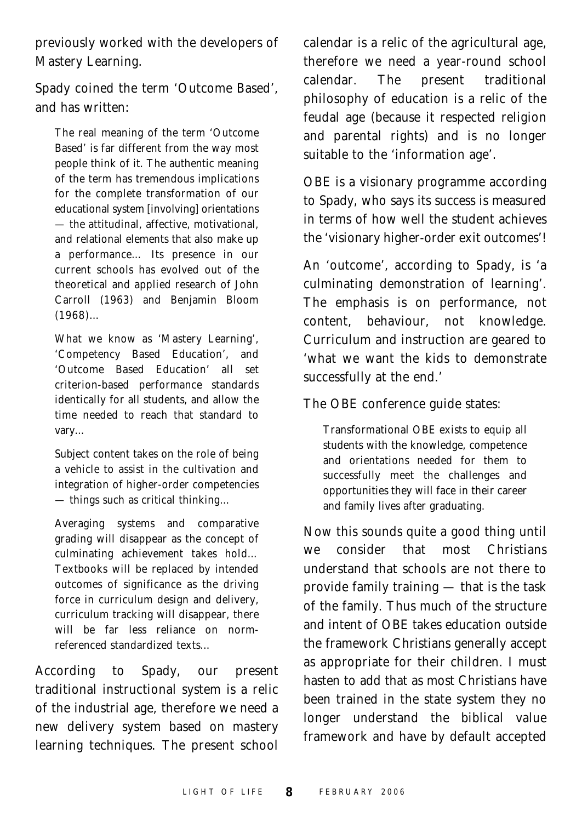previously worked with the developers of Mastery Learning.

Spady coined the term 'Outcome Based', and has written:

The real meaning of the term 'Outcome Based' is far different from the way most people think of it. The authentic meaning of the term has tremendous implications for the complete transformation of our educational system [involving] orientations — the attitudinal, affective, motivational, and relational elements that also make up a performance… Its presence in our current schools has evolved out of the theoretical and applied research of John Carroll (1963) and Benjamin Bloom (1968)…

What we know as 'Mastery Learning', 'Competency Based Education', and 'Outcome Based Education' all set criterion-based performance standards identically for all students, and allow the time needed to reach that standard to vary…

Subject content takes on the role of being a vehicle to assist in the cultivation and integration of higher-order competencies — things such as critical thinking…

Averaging systems and comparative grading will disappear as the concept of culminating achievement takes hold… Textbooks will be replaced by intended outcomes of significance as the driving force in curriculum design and delivery, curriculum tracking will disappear, there will be far less reliance on normreferenced standardized texts…

According to Spady, our present traditional instructional system is a relic of the industrial age, therefore we need a new delivery system based on mastery learning techniques. The present school calendar is a relic of the agricultural age, therefore we need a year-round school calendar. The present traditional philosophy of education is a relic of the feudal age (because it respected religion and parental rights) and is no longer suitable to the 'information age'.

OBE is a visionary programme according to Spady, who says its success is measured in terms of how well the student achieves the 'visionary higher-order exit outcomes'!

An 'outcome', according to Spady, is 'a culminating demonstration of learning'. The emphasis is on performance, not content, behaviour, not knowledge. Curriculum and instruction are geared to 'what we want the kids to demonstrate successfully at the end.'

The OBE conference guide states:

Transformational OBE exists to equip all students with the knowledge, competence and orientations needed for them to successfully meet the challenges and opportunities they will face in their career and family lives after graduating.

Now this sounds quite a good thing until we consider that most Christians understand that schools are not there to provide family training — that is the task of the family. Thus much of the structure and intent of OBE takes education outside the framework Christians generally accept as appropriate for their children. I must hasten to add that as most Christians have been trained in the state system they no longer understand the biblical value framework and have by default accepted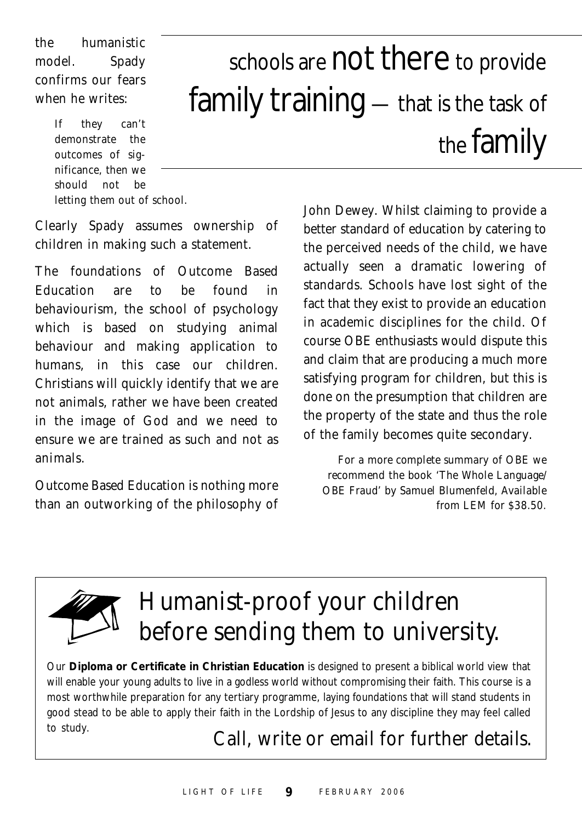the humanistic model. Spady confirms our fears when he writes:

> If they can't demonstrate the outcomes of significance, then we should not be letting them out of school.

# schools are not there to provide family training — that is the task of the family

Clearly Spady assumes ownership of children in making such a statement.

The foundations of Outcome Based Education are to be found in behaviourism, the school of psychology which is based on studying animal behaviour and making application to humans, in this case our children. Christians will quickly identify that we are not animals, rather we have been created in the image of God and we need to ensure we are trained as such and not as animals.

Outcome Based Education is nothing more than an outworking of the philosophy of John Dewey. Whilst claiming to provide a better standard of education by catering to the perceived needs of the child, we have actually seen a dramatic lowering of standards. Schools have lost sight of the fact that they exist to provide an education in academic disciplines for the child. Of course OBE enthusiasts would dispute this and claim that are producing a much more satisfying program for children, but this is done on the presumption that children are the property of the state and thus the role of the family becomes quite secondary.

*For a more complete summary of OBE we recommend the book 'The Whole Language/ OBE Fraud' by Samuel Blumenfeld, Available from LEM for \$38.50.*



# Humanist-proof your children before sending them to university.

Our **Diploma or Certificate in Christian Education** is designed to present a biblical world view that will enable your young adults to live in a godless world without compromising their faith. This course is a most worthwhile preparation for any tertiary programme, laying foundations that will stand students in good stead to be able to apply their faith in the Lordship of Jesus to any discipline they may feel called to study.

Call, write or email for further details.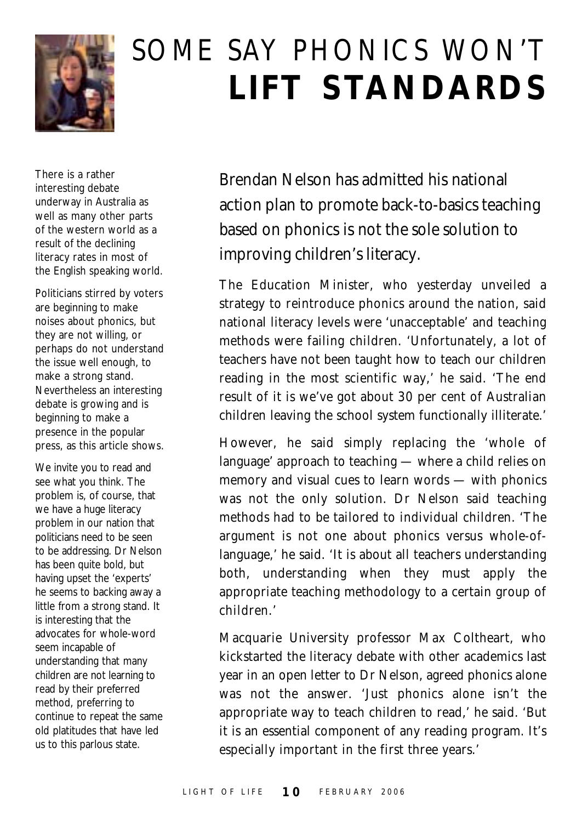

# SOME SAY PHONICS WON'T **LIFT STANDARDS**

There is a rather interesting debate underway in Australia as well as many other parts of the western world as a result of the declining literacy rates in most of the English speaking world.

Politicians stirred by voters are beginning to make noises about phonics, but they are not willing, or perhaps do not understand the issue well enough, to make a strong stand. Nevertheless an interesting debate is growing and is beginning to make a presence in the popular press, as this article shows.

We invite you to read and see what you think. The problem is, of course, that we have a huge literacy problem in our nation that politicians need to be seen to be addressing. Dr Nelson has been quite bold, but having upset the 'experts' he seems to backing away a little from a strong stand. It is interesting that the advocates for whole-word seem incapable of understanding that many children are not learning to read by their preferred method, preferring to continue to repeat the same old platitudes that have led us to this parlous state.

Brendan Nelson has admitted his national action plan to promote back-to-basics teaching based on phonics is not the sole solution to improving children's literacy.

The Education Minister, who yesterday unveiled a strategy to reintroduce phonics around the nation, said national literacy levels were 'unacceptable' and teaching methods were failing children. 'Unfortunately, a lot of teachers have not been taught how to teach our children reading in the most scientific way,' he said. 'The end result of it is we've got about 30 per cent of Australian children leaving the school system functionally illiterate.'

However, he said simply replacing the 'whole of language' approach to teaching — where a child relies on memory and visual cues to learn words — with phonics was not the only solution. Dr Nelson said teaching methods had to be tailored to individual children. 'The argument is not one about phonics versus whole-oflanguage,' he said. 'It is about all teachers understanding both, understanding when they must apply the appropriate teaching methodology to a certain group of children.'

Macquarie University professor Max Coltheart, who kickstarted the literacy debate with other academics last year in an open letter to Dr Nelson, agreed phonics alone was not the answer. 'Just phonics alone isn't the appropriate way to teach children to read,' he said. 'But it is an essential component of any reading program. It's especially important in the first three years.'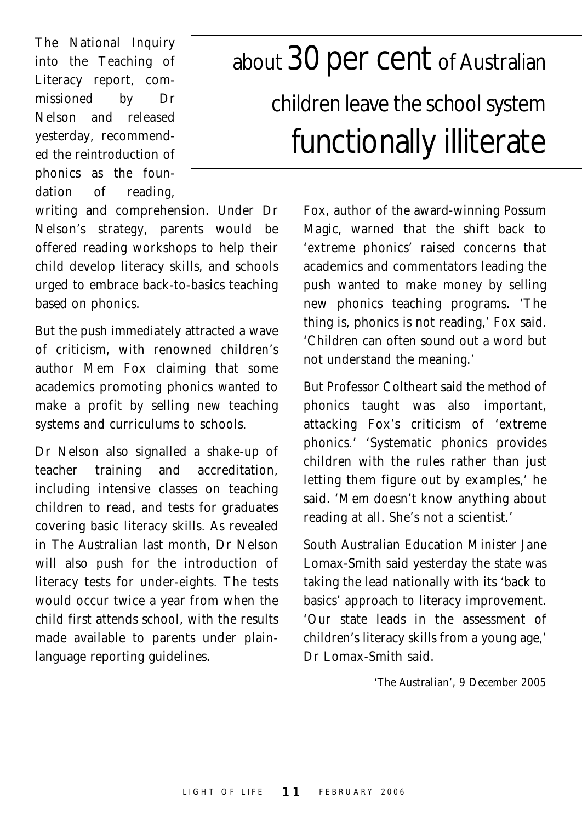The National Inquiry into the Teaching of Literacy report, commissioned by Dr Nelson and released yesterday, recommended the reintroduction of phonics as the foundation of reading,

# about 30 per cent of Australian children leave the school system functionally illiterate

writing and comprehension. Under Dr Nelson's strategy, parents would be offered reading workshops to help their child develop literacy skills, and schools urged to embrace back-to-basics teaching based on phonics.

But the push immediately attracted a wave of criticism, with renowned children's author Mem Fox claiming that some academics promoting phonics wanted to make a profit by selling new teaching systems and curriculums to schools.

Dr Nelson also signalled a shake-up of teacher training and accreditation, including intensive classes on teaching children to read, and tests for graduates covering basic literacy skills. As revealed in *The Australian* last month, Dr Nelson will also push for the introduction of literacy tests for under-eights. The tests would occur twice a year from when the child first attends school, with the results made available to parents under plainlanguage reporting guidelines.

Fox, author of the award-winning *Possum Magic*, warned that the shift back to 'extreme phonics' raised concerns that academics and commentators leading the push wanted to make money by selling new phonics teaching programs. 'The thing is, phonics is not reading,' Fox said. 'Children can often sound out a word but not understand the meaning.'

But Professor Coltheart said the method of phonics taught was also important, attacking Fox's criticism of 'extreme phonics.' 'Systematic phonics provides children with the rules rather than just letting them figure out by examples,' he said. 'Mem doesn't know anything about reading at all. She's not a scientist.'

South Australian Education Minister Jane Lomax-Smith said yesterday the state was taking the lead nationally with its 'back to basics' approach to literacy improvement. 'Our state leads in the assessment of children's literacy skills from a young age,' Dr Lomax-Smith said.

*'The Australian', 9 December 2005*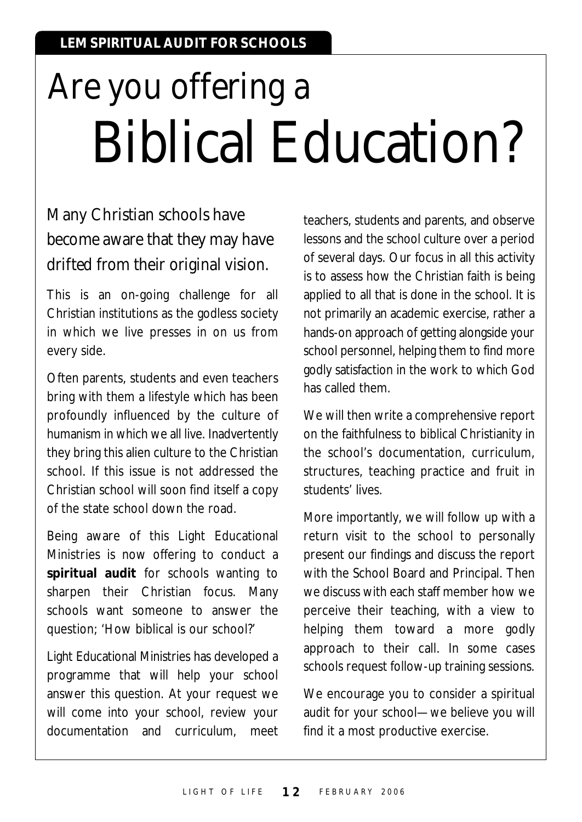# Are you offering a Biblical Education?

### Many Christian schools have become aware that they may have drifted from their original vision.

This is an on-going challenge for all Christian institutions as the godless society in which we live presses in on us from every side.

Often parents, students and even teachers bring with them a lifestyle which has been profoundly influenced by the culture of humanism in which we all live. Inadvertently they bring this alien culture to the Christian school. If this issue is not addressed the Christian school will soon find itself a copy of the state school down the road.

Being aware of this Light Educational Ministries is now offering to conduct a **spiritual audit** for schools wanting to sharpen their Christian focus. Many schools want someone to answer the question; 'How biblical is our school?'

Light Educational Ministries has developed a programme that will help your school answer this question. At your request we will come into your school, review your documentation and curriculum, meet

teachers, students and parents, and observe lessons and the school culture over a period of several days. Our focus in all this activity is to assess how the Christian faith is being applied to all that is done in the school. It is not primarily an academic exercise, rather a hands-on approach of getting alongside your school personnel, helping them to find more godly satisfaction in the work to which God has called them.

We will then write a comprehensive report on the faithfulness to biblical Christianity in the school's documentation, curriculum, structures, teaching practice and fruit in students' lives.

More importantly, we will follow up with a return visit to the school to personally present our findings and discuss the report with the School Board and Principal. Then we discuss with each staff member how we perceive their teaching, with a view to helping them toward a more godly approach to their call. In some cases schools request follow-up training sessions.

We encourage you to consider a spiritual audit for your school—we believe you will find it a most productive exercise.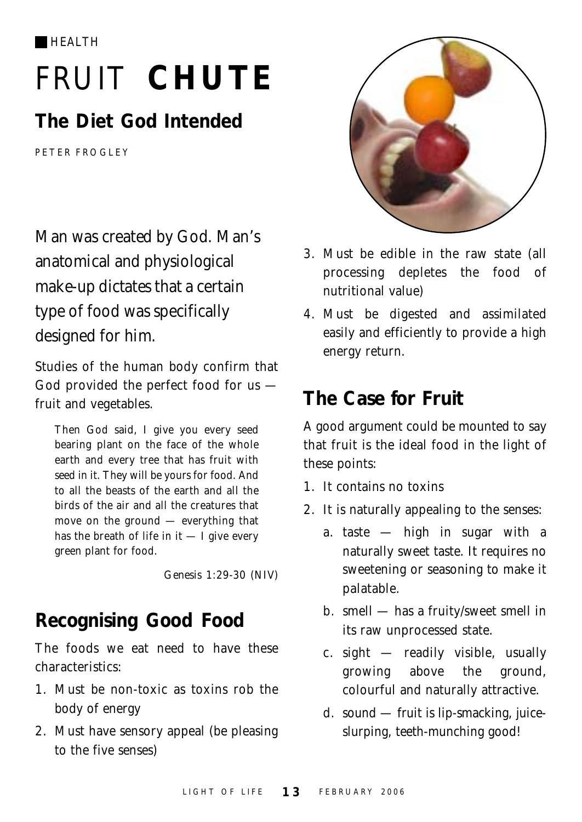HEALTH

# FRUIT **CHUTE**

## **The Diet God Intended**

PETER FROGLEY

Man was created by God. Man's anatomical and physiological make-up dictates that a certain type of food was specifically designed for him.

Studies of the human body confirm that God provided the perfect food for us fruit and vegetables.

Then God said, I give you every seed bearing plant on the face of the whole earth and every tree that has fruit with seed in it. They will be yours for food. And to all the beasts of the earth and all the birds of the air and all the creatures that move on the ground — everything that has the breath of life in it  $-$  I give every green plant for food.

*Genesis 1:29-30 (NIV)*

# **Recognising Good Food**

The foods we eat need to have these characteristics:

- 1. Must be non-toxic as toxins rob the body of energy
- 2. Must have sensory appeal (be pleasing to the five senses)



- 3. Must be edible in the raw state (all processing depletes the food of nutritional value)
- 4. Must be digested and assimilated easily and efficiently to provide a high energy return.

## **The Case for Fruit**

A good argument could be mounted to say that fruit is the ideal food in the light of these points:

- 1. It contains no toxins
- 2. It is naturally appealing to the senses:
	- a. taste high in sugar with a naturally sweet taste. It requires no sweetening or seasoning to make it palatable.
	- b. smell has a fruity/sweet smell in its raw unprocessed state.
	- c. sight readily visible, usually growing above the ground, colourful and naturally attractive.
	- d. sound fruit is lip-smacking, juiceslurping, teeth-munching good!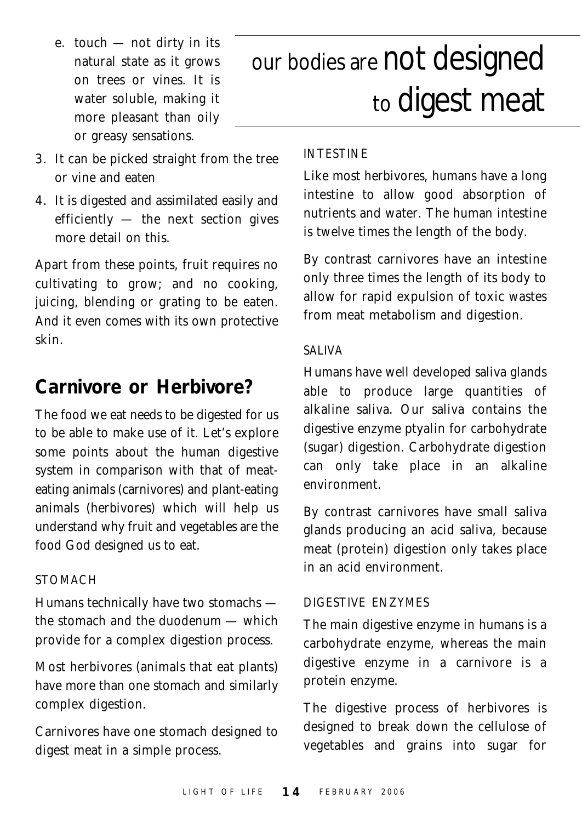- e. touch not dirty in its natural state as it grows on trees or vines. It is water soluble, making it more pleasant than oily or greasy sensations.
- 3. It can be picked straight from the tree or vine and eaten
- 4. It is digested and assimilated easily and efficiently — the next section gives more detail on this.

Apart from these points, fruit requires no cultivating to grow; and no cooking, juicing, blending or grating to be eaten. And it even comes with its own protective skin.

#### **Carnivore or Herbivore?**

The food we eat needs to be digested for us to be able to make use of it. Let's explore some points about the human digestive system in comparison with that of meateating animals (carnivores) and plant-eating animals (herbivores) which will help us understand why fruit and vegetables are the food God designed us to eat.

#### STOMACH

Humans technically have two stomachs the stomach and the duodenum — which provide for a complex digestion process.

Most herbivores (animals that eat plants) have more than one stomach and similarly complex digestion.

Carnivores have one stomach designed to digest meat in a simple process.

# our bodies are not designed to digest meat

#### INTESTINE

Like most herbivores, humans have a long intestine to allow good absorption of nutrients and water. The human intestine is twelve times the length of the body.

By contrast carnivores have an intestine only three times the length of its body to allow for rapid expulsion of toxic wastes from meat metabolism and digestion.

#### SALIVA

Humans have well developed saliva glands able to produce large quantities of alkaline saliva. Our saliva contains the digestive enzyme *ptyalin* for carbohydrate (sugar) digestion. Carbohydrate digestion can only take place in an alkaline environment.

By contrast carnivores have small saliva glands producing an acid saliva, because meat (protein) digestion only takes place in an acid environment.

#### DIGESTIVE ENZYMES

The main digestive enzyme in humans is a carbohydrate enzyme, whereas the main digestive enzyme in a carnivore is a protein enzyme.

The digestive process of herbivores is designed to break down the cellulose of vegetables and grains into sugar for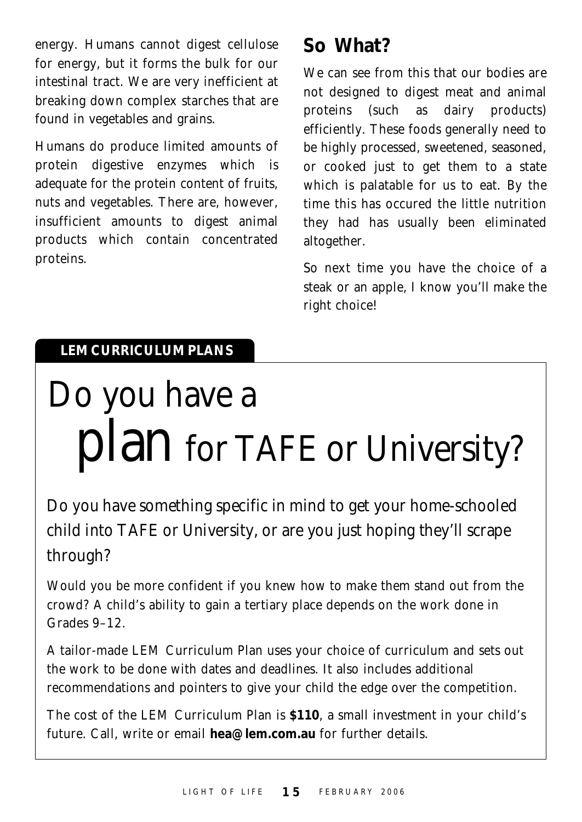energy. Humans cannot digest cellulose for energy, but it forms the bulk for our intestinal tract. We are very inefficient at breaking down complex starches that are found in vegetables and grains.

Humans do produce limited amounts of protein digestive enzymes which is adequate for the protein content of fruits, nuts and vegetables. There are, however, insufficient amounts to digest animal products which contain concentrated proteins.

## **So What?**

We can see from this that our bodies are not designed to digest meat and animal proteins (such as dairy products) efficiently. These foods generally need to be highly processed, sweetened, seasoned, or cooked just to get them to a state which is palatable for us to eat. By the time this has occured the little nutrition they had has usually been eliminated altogether.

So next time you have the choice of a steak or an apple, I know you'll make the right choice!

#### **LEM CURRICULUM PLANS**

# Do you have a plan for TAFE or University?

Do you have something specific in mind to get your home-schooled child into TAFE or University, or are you just hoping they'll scrape through?

Would you be more confident if you knew how to make them stand out from the crowd? A child's ability to gain a tertiary place depends on the work done in Grades 9–12.

A tailor-made LEM Curriculum Plan uses your choice of curriculum and sets out the work to be done with dates and deadlines. It also includes additional recommendations and pointers to give your child the edge over the competition.

The cost of the LEM Curriculum Plan is **\$110**, a small investment in your child's future. Call, write or email **hea@lem.com.au** for further details.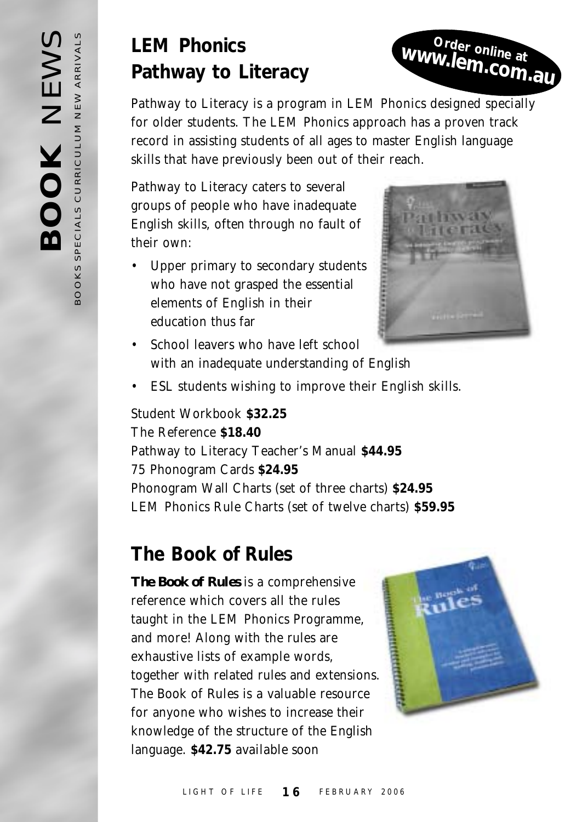## **LEM Phonics Pathway to Literacy**

*Pathway to Literacy* is a program in LEM Phonics designed specially for older students. The LEM Phonics approach has a proven track record in assisting students of all ages to master English language skills that have previously been out of their reach.

*Pathway to Literacy* caters to several groups of people who have inadequate English skills, often through no fault of their own:

• Upper primary to secondary students who have not grasped the essential elements of English in their education thus far



**Order online at www.lem.com.au**

- School leavers who have left school with an inadequate understanding of English
- ESL students wishing to improve their English skills.

Student Workbook **\$32.25** The Reference **\$18.40** Pathway to Literacy Teacher's Manual **\$44.95** 75 Phonogram Cards **\$24.95** Phonogram Wall Charts (set of three charts) **\$24.95** LEM Phonics Rule Charts (set of twelve charts) **\$59.95**

## **The Book of Rules**

*The Book of Rules* is a comprehensive reference which covers all the rules taught in the LEM Phonics Programme, and more! Along with the rules are exhaustive lists of example words, together with related rules and extensions. *The Book of Rules* is a valuable resource for anyone who wishes to increase their knowledge of the structure of the English language. **\$42.75** *available soon*

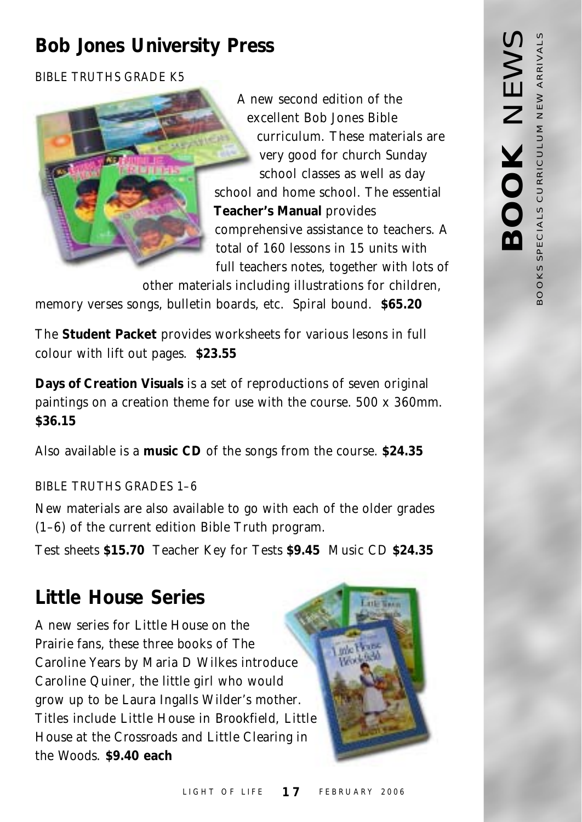## **Bob Jones University Press**

BIBLE TRUTHS GRADE K5



A new second edition of the excellent Bob Jones Bible curriculum. These materials are very good for church Sunday school classes as well as day school and home school. The essential **Teacher's Manual** provides comprehensive assistance to teachers. A total of 160 lessons in 15 units with full teachers notes, together with lots of

other materials including illustrations for children, memory verses songs, bulletin boards, etc. Spiral bound. **\$65.20**

The **Student Packet** provides worksheets for various lesons in full colour with lift out pages. **\$23.55**

**Days of Creation Visuals** is a set of reproductions of seven original paintings on a creation theme for use with the course. 500 x 360mm. **\$36.15**

Also available is a **music CD** of the songs from the course. **\$24.35**

BIBLE TRUTHS GRADES 1–6

New materials are also available to go with each of the older grades (1–6) of the current edition Bible Truth program.

Test sheets **\$15.70** Teacher Key for Tests **\$9.45** Music CD **\$24.35**

## **Little House Series**

A new series for *Little House on the Prairie* fans, these three books of *The Caroline Years* by Maria D Wilkes introduce Caroline Quiner, the little girl who would grow up to be Laura Ingalls Wilder's mother. Titles include *Little House in Brookfield, Little House at the Crossroads* and *Little Clearing in the Woods.* **\$9.40 each**

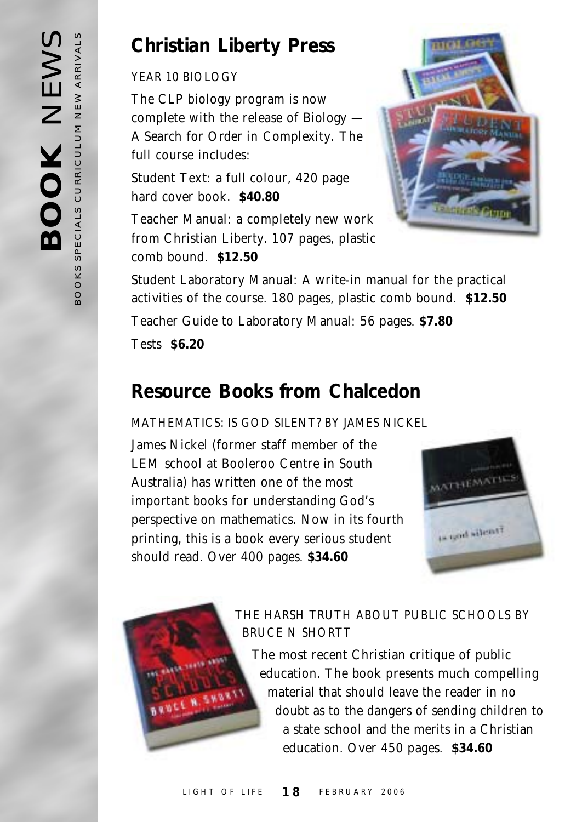### **Christian Liberty Press**

YEAR 10 BIOLOGY

The CLP biology program is now complete with the release of *Biology — A Search for Order in Complexity*. The full course includes:

Student Text: a full colour, 420 page hard cover book. **\$40.80**

Teacher Manual: a completely new work from Christian Liberty. 107 pages, plastic comb bound. **\$12.50**



Student Laboratory Manual: A write-in manual for the practical activities of the course. 180 pages, plastic comb bound. **\$12.50** Teacher Guide to Laboratory Manual: 56 pages. **\$7.80** Tests **\$6.20**

## **Resource Books from Chalcedon**

#### MATHEMATICS: IS GOD SILENT? BY JAMES NICKEL

James Nickel (former staff member of the LEM school at Booleroo Centre in South Australia) has written one of the most important books for understanding God's perspective on mathematics. Now in its fourth printing, this is a book every serious student should read. Over 400 pages. **\$34.60**





#### THE HARSH TRUTH ABOUT PUBLIC SCHOOLS BY BRUCE N SHORTT

The most recent Christian critique of public education. The book presents much compelling material that should leave the reader in no doubt as to the dangers of sending children to a state school and the merits in a Christian education. Over 450 pages. **\$34.60**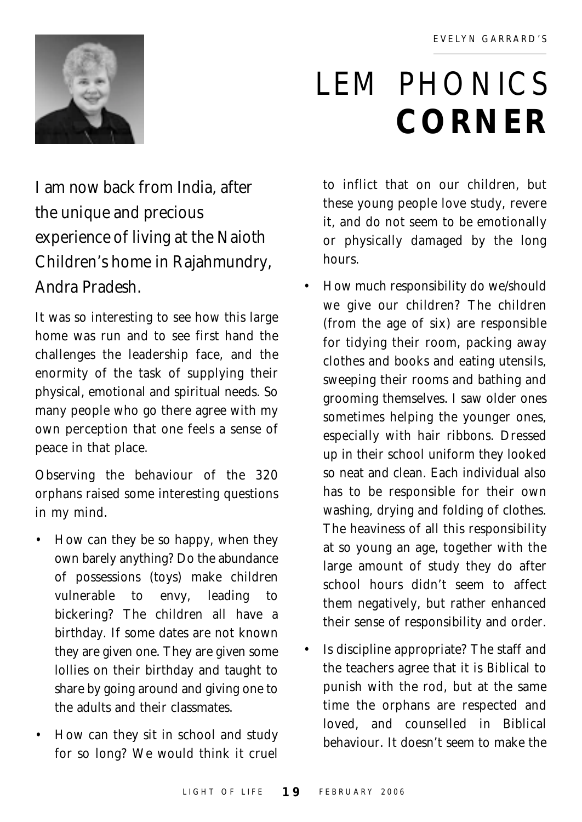

# LEM PHONICS **CORNER**

I am now back from India, after the unique and precious experience of living at the Naioth Children's home in Rajahmundry, Andra Pradesh.

It was so interesting to see how this large home was run and to see first hand the challenges the leadership face, and the enormity of the task of supplying their physical, emotional and spiritual needs. So many people who go there agree with my own perception that one feels a sense of peace in that place.

Observing the behaviour of the 320 orphans raised some interesting questions in my mind.

- How can they be so happy, when they own barely anything? Do the abundance of possessions (toys) make children vulnerable to envy, leading to bickering? The children all have a birthday. If some dates are not known they are given one. They are given some lollies on their birthday and taught to share by going around and giving one to the adults and their classmates.
- How can they sit in school and study for so long? We would think it cruel

to inflict that on our children, but these young people love study, revere it, and do not seem to be emotionally or physically damaged by the long hours.

- How much responsibility do we/should we give our children? The children (from the age of six) are responsible for tidying their room, packing away clothes and books and eating utensils, sweeping their rooms and bathing and grooming themselves. I saw older ones sometimes helping the younger ones, especially with hair ribbons. Dressed up in their school uniform they looked so neat and clean. Each individual also has to be responsible for their own washing, drying and folding of clothes. The heaviness of all this responsibility at so young an age, together with the large amount of study they do after school hours didn't seem to affect them negatively, but rather enhanced their sense of responsibility and order.
- Is discipline appropriate? The staff and the teachers agree that it is Biblical to punish with the rod, but at the same time the orphans are respected and loved, and counselled in Biblical behaviour. It doesn't seem to make the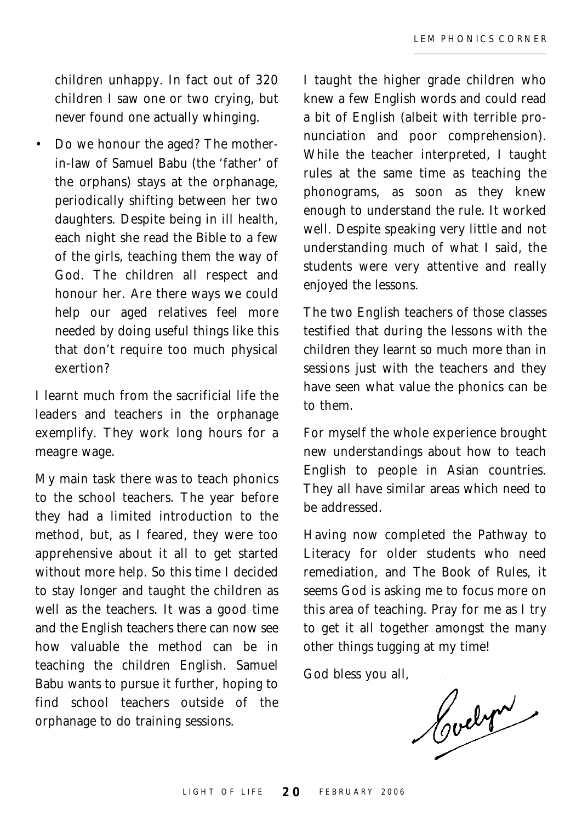children unhappy. In fact out of 320 children I saw one or two crying, but *never* found one actually whinging.

• Do we honour the aged? The motherin-law of Samuel Babu (the 'father' of the orphans) stays at the orphanage, periodically shifting between her two daughters. Despite being in ill health, each night she read the Bible to a few of the girls, teaching them the way of God. The children all respect and honour her. Are there ways we could help our aged relatives feel more needed by doing useful things like this that don't require too much physical exertion?

I learnt much from the sacrificial life the leaders and teachers in the orphanage exemplify. They work long hours for a meagre wage.

My main task there was to teach phonics to the school teachers. The year before they had a limited introduction to the method, but, as I feared, they were too apprehensive about it all to get started without more help. So this time I decided to stay longer and taught the children as well as the teachers. It was a good time and the English teachers there can now see how valuable the method can be in teaching the children English. Samuel Babu wants to pursue it further, hoping to find school teachers outside of the orphanage to do training sessions.

I taught the higher grade children who knew a few English words and could read a bit of English (albeit with terrible pronunciation and poor comprehension). While the teacher interpreted, I taught rules at the same time as teaching the phonograms, as soon as they knew enough to understand the rule. It worked well. Despite speaking very little and not understanding much of what I said, the students were very attentive and really enjoyed the lessons.

The two English teachers of those classes testified that during the lessons with the children they learnt so much more than in sessions just with the teachers and they have seen what value the phonics can be to them.

For myself the whole experience brought new understandings about how to teach English to people in Asian countries. They all have similar areas which need to be addressed.

Having now completed the *Pathway to Literacy* for older students who need remediation, and *The Book of Rules*, it seems God is asking me to focus more on this area of teaching. Pray for me as I try to get it all together amongst the many other things tugging at my time!

God bless you all,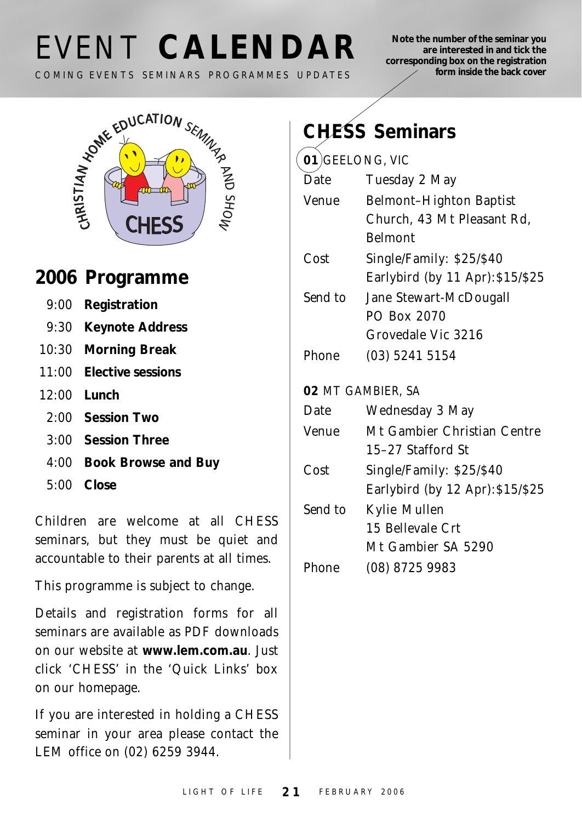# EVENT **CALENDAR**

COMING EVENTS SEMINARS PROGRAMMES UPDATES

**Note the number of the seminar you are interested in and tick the corresponding box on the registration form inside the back cover**



### **2006 Programme**

- 9:00 **Registration**
- 9:30 **Keynote Address**
- 10:30 **Morning Break**
- 11:00 **Elective sessions**
- 12:00 **Lunch**
	- 2:00 **Session Two**
	- 3:00 **Session Three**
	- 4:00 **Book Browse and Buy**
	- 5:00 **Close**

Children are welcome at all CHESS seminars, but they must be quiet and accountable to their parents at all times.

This programme is subject to change.

Details and registration forms for all seminars are available as PDF downloads on our website at **www.lem.com.au**. Just click 'CHESS' in the 'Quick Links' box on our homepage.

If you are interested in holding a CHESS seminar in your area please contact the LEM office on (02) 6259 3944.

|                      | <b>CHESS Seminars</b>            |
|----------------------|----------------------------------|
| 01) GEELONG, VIC     |                                  |
| Date                 | Tuesday 2 May                    |
| Venue                | <b>Belmont-Highton Baptist</b>   |
|                      | Church, 43 Mt Pleasant Rd,       |
|                      | <b>Belmont</b>                   |
| Cost                 | Single/Family: \$25/\$40         |
|                      | Earlybird (by 11 Apr): \$15/\$25 |
| Send to              | Jane Stewart-McDougall           |
|                      | PO Box 2070                      |
|                      | Grovedale Vic 3216               |
| Phone                | (03) 5241 5154                   |
|                      |                                  |
|                      | 02 MT GAMBIER, SA                |
| Date                 | Wednesday 3 May                  |
| Venue                | Mt Gambier Christian Centre      |
|                      | 15–27 Stafford St                |
| Cost                 | Single/Family: \$25/\$40         |
|                      | Earlybird (by 12 Apr): \$15/\$25 |
| $\mathcal{C}$ and to | Kylie Mullen                     |

*Send to* Kylie Mullen 15 Bellevale Crt Mt Gambier SA 5290 *Phone* (08) 8725 9983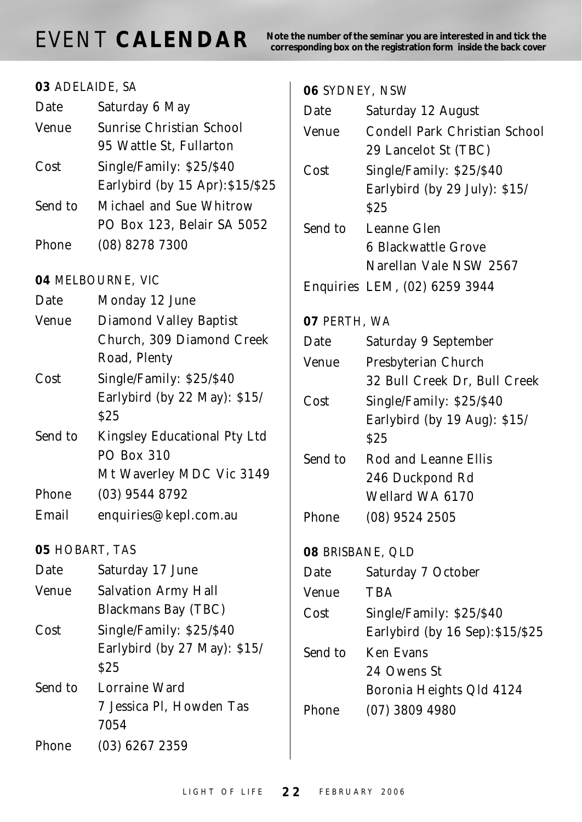**NORT CALENDAR** Note the number of the seminar you are interested in and tick the corresponding box on the registration form inside the back cover

| 03 ADELAIDE, SA |                                  |
|-----------------|----------------------------------|
| Date            | Saturday 6 May                   |
| Venue           | Sunrise Christian School         |
|                 | 95 Wattle St, Fullarton          |
| Cost            | Single/Family: \$25/\$40         |
|                 | Earlybird (by 15 Apr): \$15/\$25 |
| Send to         | Michael and Sue Whitrow          |
|                 | PO Box 123, Belair SA 5052       |
| Phone           | (08) 8278 7300                   |
|                 | 04 MELBOURNE, VIC                |
| Date            | Monday 12 June                   |
| Venue           | <b>Diamond Valley Baptist</b>    |
|                 | Church, 309 Diamond Creek        |
|                 | Road, Plenty                     |
| Cost            | Single/Family: \$25/\$40         |
|                 | Earlybird (by 22 May): \$15/     |
|                 | S25                              |
| Send to         | Kingsley Educational Pty Ltd     |
|                 | <b>PO Box 310</b>                |
|                 | Mt Waverley MDC Vic 3149         |
| <b>Phone</b>    | (03) 9544 8792                   |
| Email           | enquiries@kepl.com.au            |
| 05 HOBART, TAS  |                                  |
| Date            | Saturday 17 June                 |
| Venue           | <b>Salvation Army Hall</b>       |
|                 | <b>Blackmans Bay (TBC)</b>       |
| Cost            | Single/Family: \$25/\$40         |
|                 | Earlybird (by 27 May): \$15/     |
|                 | <b>S25</b>                       |
| Send to         | Lorraine Ward                    |
|                 | 7 Jessica Pl, Howden Tas         |
|                 | 7054                             |
| Phone           | (03) 6267 2359                   |

| 06 SYDNEY, NSW   |                                                                             |
|------------------|-----------------------------------------------------------------------------|
| Date             | Saturday 12 August                                                          |
| Venue            | Condell Park Christian School<br>29 Lancelot St (TBC)                       |
| Cost             | Single/Family: \$25/\$40<br>Earlybird (by 29 July): \$15/<br>\$25           |
| Send to          | Leanne Glen<br>6 Blackwattle Grove<br>Narellan Vale NSW 2567                |
|                  | Enquiries LEM, (02) 6259 3944                                               |
| 07 PERTH, WA     |                                                                             |
| Date             | Saturday 9 September                                                        |
| Venue            | Presbyterian Church                                                         |
|                  | 32 Bull Creek Dr, Bull Creek                                                |
| Cost             | Single/Family: \$25/\$40<br>Earlybird (by 19 Aug): \$15/<br>S <sub>25</sub> |
| Send to          | Rod and Leanne Ellis<br>246 Duckpond Rd<br>Wellard WA 6170                  |
| Phone            | (08) 9524 2505                                                              |
| 08 BRISBANE, QLD |                                                                             |
| Date             | Saturday 7 October                                                          |
| Venue            | <b>TBA</b>                                                                  |
| Cost             | Single/Family: \$25/\$40<br>Earlybird (by 16 Sep): \$15/\$25                |
| Send to          | <b>Ken Evans</b><br>24 Owens St<br>Boronia Heights Qld 4124                 |
| Phone            | $(07)$ 3809 4980                                                            |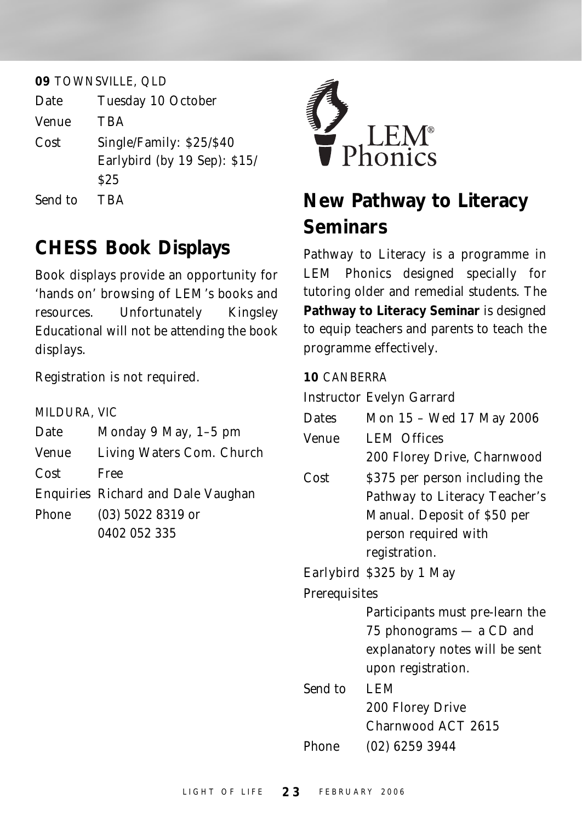#### **09** TOWNSVILLE, QLD

| Date  | Tuesday 10 October                                       |
|-------|----------------------------------------------------------|
| Venue | TBA                                                      |
| Cost  | Single/Family: \$25/\$40<br>Earlybird (by 19 Sep): \$15/ |
|       |                                                          |

\$25

*Send to* TBA

### **CHESS Book Displays**

Book displays provide an opportunity for 'hands on' browsing of LEM's books and resources. Unfortunately Kingsley Educational will not be attending the book displays.

Registration is not required.

| MILDURA, VIC |                                    |
|--------------|------------------------------------|
| Date         | Monday 9 May, 1-5 pm               |
| <i>Venue</i> | Living Waters Com. Church          |
| Cost         | Free                               |
|              | Enquiries Richard and Dale Vaughan |
| <b>Phone</b> | $(03)$ 5022 8319 or                |
|              | 0402 052 335                       |



## **New Pathway to Literacy Seminars**

*Pathway to Literacy* is a programme in LEM Phonics designed specially for tutoring older and remedial students. The **Pathway to Literacy Seminar** is designed to equip teachers and parents to teach the programme effectively.

#### **10** CANBERRA

*Instructor* Evelyn Garrard

| <i>Dates</i> | Mon 15 - Wed 17 May 2006 |  |  |  |  |  |
|--------------|--------------------------|--|--|--|--|--|
|--------------|--------------------------|--|--|--|--|--|

- *Venue* LEM Offices 200 Florey Drive, Charnwood
- *Cost* \$375 per person including the *Pathway to Literacy* Teacher's Manual. Deposit of \$50 per person required with registration.

#### *Earlybird* \$325 by 1 May

*Prerequisites*

Participants must pre-learn the 75 phonograms — a CD and explanatory notes will be sent upon registration. *Send to* LEM 200 Florey Drive Charnwood ACT 2615 *Phone* (02) 6259 3944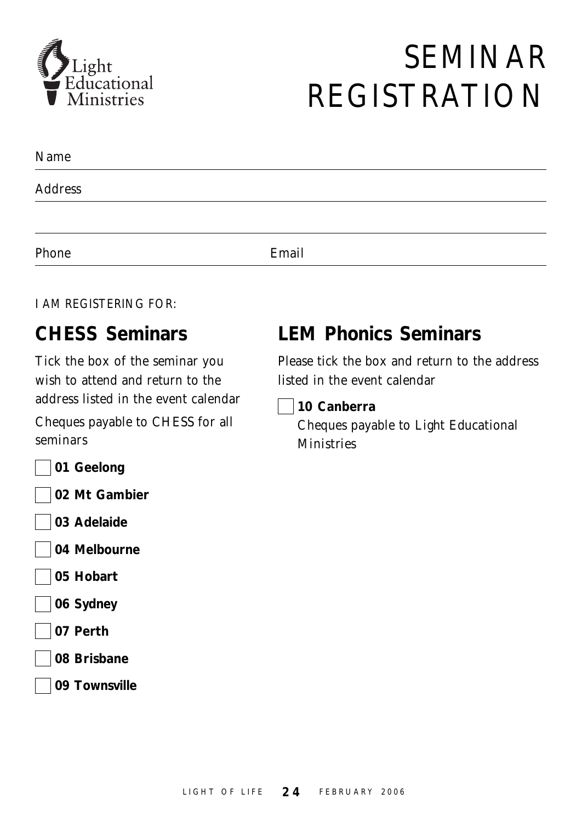

# SEMINAR REGISTRATION

| Name    |       |  |
|---------|-------|--|
| Address |       |  |
|         |       |  |
| Phone   | Email |  |

#### I AM REGISTERING FOR:

#### **CHESS Seminars**

Tick the box of the seminar you wish to attend and return to the address listed in the event calendar Cheques payable to *CHESS* for all

seminars

**01 Geelong**

**02 Mt Gambier**

- **03 Adelaide**
- **04 Melbourne**
- **05 Hobart**
- **06 Sydney**
- **07 Perth**
- **08 Brisbane**
- **09 Townsville**

#### **LEM Phonics Seminars**

Please tick the box and return to the address listed in the event calendar

**10 Canberra**

Cheques payable to *Light Educational Ministries*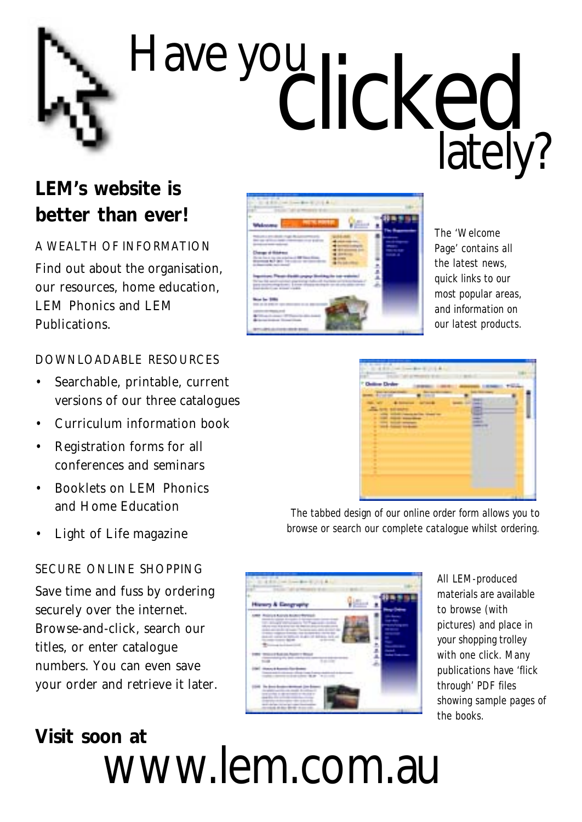# Have you clicked lately?

## **LEM's website is better than ever!**

A WEALTH OF INFORMATION Find out about the organisation, our resources, home education, LEM Phonics and LEM Publications.

#### DOWNLOADABLE RESOURCES

- Searchable, printable, current versions of our three catalogues
- Curriculum information book
- Registration forms for all conferences and seminars
- Booklets on LEM Phonics and Home Education
- *Light of Life* magazine

#### SECURE ONLINE SHOPPING

Save time and fuss by ordering securely over the internet. Browse-and-click, search our titles, or enter catalogue numbers. You can even save your order and retrieve it later.

# **Visit soon at** www.lem.com.au



*The 'Welcome Page' contains all the latest news, quick links to our most popular areas, and information on our latest products.*

| <b>Christmas Electron</b>         |   |                    |  |
|-----------------------------------|---|--------------------|--|
| 120<br>İ<br>t<br>$\sim$<br>İ<br>İ | - | -<br>×<br>-11<br>٠ |  |
| Ē                                 |   |                    |  |

*The tabbed design of our online order form allows you to browse or search our complete catalogue whilst ordering.*



*All LEM-produced materials are available to browse (with pictures) and place in your shopping trolley with one click. Many publications have 'flick through' PDF files showing sample pages of the books.*